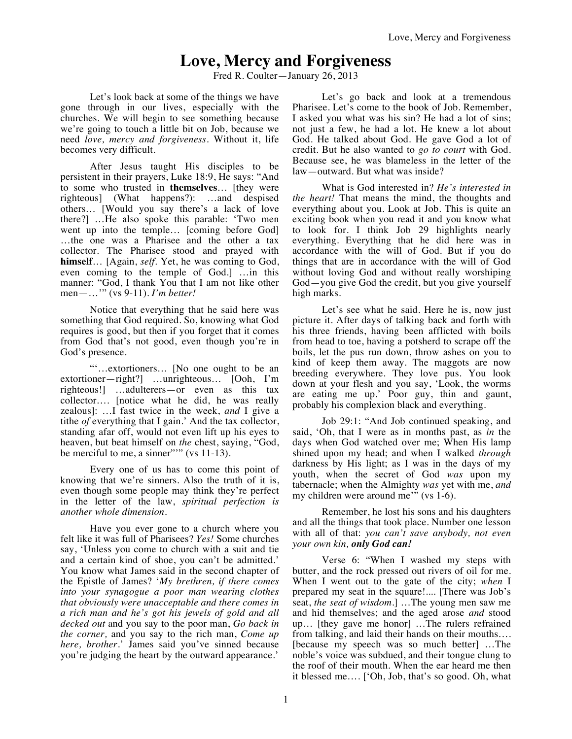# **Love, Mercy and Forgiveness**

Fred R. Coulter—January 26, 2013

Let's look back at some of the things we have gone through in our lives, especially with the churches. We will begin to see something because we're going to touch a little bit on Job, because we need *love, mercy and forgiveness*. Without it, life becomes very difficult.

After Jesus taught His disciples to be persistent in their prayers, Luke 18:9, He says: "And to some who trusted in **themselves**… [they were righteous] (What happens?): …and despised others… [Would you say there's a lack of love there?] …He also spoke this parable: 'Two men went up into the temple… [coming before God] …the one was a Pharisee and the other a tax collector. The Pharisee stood and prayed with **himself**… [Again, *self*. Yet, he was coming to God, even coming to the temple of God.] …in this manner: "God, I thank You that I am not like other men—…'" (vs 9-11). *I'm better!*

Notice that everything that he said here was something that God required. So, knowing what God requires is good, but then if you forget that it comes from God that's not good, even though you're in God's presence.

"'…extortioners… [No one ought to be an extortioner—right?] …unrighteous… [Ooh, I'm righteous!] …adulterers—or even as this tax collector…. [notice what he did, he was really zealous]: …I fast twice in the week, *and* I give a tithe *of* everything that I gain.' And the tax collector, standing afar off, would not even lift up his eyes to heaven, but beat himself on *the* chest, saying, "God, be merciful to me, a sinner""" (vs 11-13).

Every one of us has to come this point of knowing that we're sinners. Also the truth of it is, even though some people may think they're perfect in the letter of the law, *spiritual perfection is another whole dimension.* 

Have you ever gone to a church where you felt like it was full of Pharisees? *Yes!* Some churches say, 'Unless you come to church with a suit and tie and a certain kind of shoe, you can't be admitted.' You know what James said in the second chapter of the Epistle of James? '*My brethren, if there comes into your synagogue a poor man wearing clothes that obviously were unacceptable and there comes in a rich man and he's got his jewels of gold and all decked out* and you say to the poor man, *Go back in the corner,* and you say to the rich man, *Come up here, brother.*' James said you've sinned because you're judging the heart by the outward appearance.'

Let's go back and look at a tremendous Pharisee. Let's come to the book of Job. Remember, I asked you what was his sin? He had a lot of sins; not just a few, he had a lot. He knew a lot about God. He talked about God. He gave God a lot of credit. But he also wanted to *go to court* with God. Because see, he was blameless in the letter of the law—outward. But what was inside?

What is God interested in? *He's interested in the heart!* That means the mind, the thoughts and everything about you. Look at Job. This is quite an exciting book when you read it and you know what to look for. I think Job 29 highlights nearly everything. Everything that he did here was in accordance with the will of God. But if you do things that are in accordance with the will of God without loving God and without really worshiping God—you give God the credit, but you give yourself high marks.

Let's see what he said. Here he is, now just picture it. After days of talking back and forth with his three friends, having been afflicted with boils from head to toe, having a potsherd to scrape off the boils, let the pus run down, throw ashes on you to kind of keep them away. The maggots are now breeding everywhere. They love pus. You look down at your flesh and you say, 'Look, the worms are eating me up.' Poor guy, thin and gaunt, probably his complexion black and everything.

Job 29:1: "And Job continued speaking, and said, 'Oh, that I were as in months past, as *in* the days when God watched over me; When His lamp shined upon my head; and when I walked *through* darkness by His light; as I was in the days of my youth, when the secret of God *was* upon my tabernacle; when the Almighty *was* yet with me, *and*  my children were around me'" (vs 1-6).

Remember, he lost his sons and his daughters and all the things that took place. Number one lesson with all of that: *you can't save anybody, not even your own kin, only God can!*

Verse 6: "When I washed my steps with butter, and the rock pressed out rivers of oil for me. When I went out to the gate of the city; *when* I prepared my seat in the square!.... [There was Job's seat, *the seat of wisdom*.] …The young men saw me and hid themselves; and the aged arose *and* stood up… [they gave me honor] …The rulers refrained from talking, and laid their hands on their mouths…. [because my speech was so much better] …The noble's voice was subdued, and their tongue clung to the roof of their mouth. When the ear heard me then it blessed me…. ['Oh, Job, that's so good. Oh, what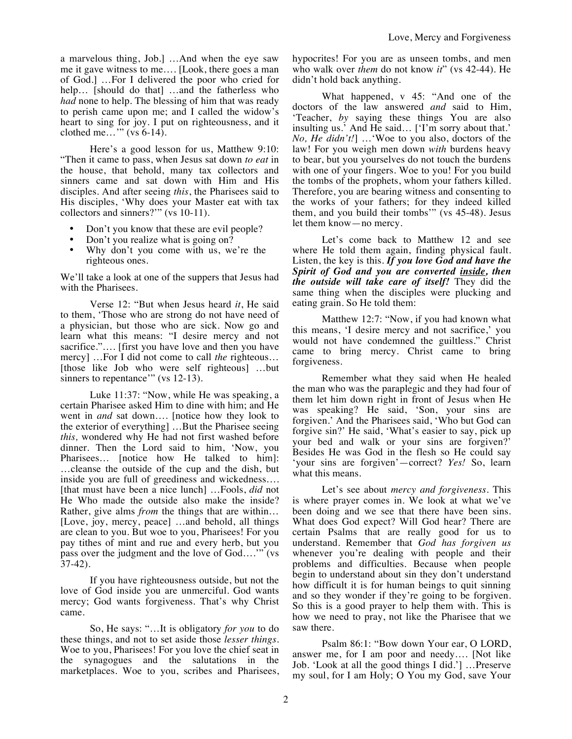a marvelous thing, Job.] …And when the eye saw me it gave witness to me…. [Look, there goes a man of God.] …For I delivered the poor who cried for help... [should do that] ...and the fatherless who *had* none to help. The blessing of him that was ready to perish came upon me; and I called the widow's heart to sing for joy. I put on righteousness, and it clothed me..." (vs  $6-14$ ).

Here's a good lesson for us, Matthew 9:10: "Then it came to pass, when Jesus sat down *to eat* in the house, that behold, many tax collectors and sinners came and sat down with Him and His disciples. And after seeing *this*, the Pharisees said to His disciples, 'Why does your Master eat with tax collectors and sinners?'" (vs 10-11).

- Don't you know that these are evil people?
- Don't you realize what is going on?
- Why don't you come with us, we're the righteous ones.

We'll take a look at one of the suppers that Jesus had with the Pharisees.

Verse 12: "But when Jesus heard *it*, He said to them, 'Those who are strong do not have need of a physician, but those who are sick. Now go and learn what this means: "I desire mercy and not sacrifice."…. [first you have love and then you have mercy] …For I did not come to call *the* righteous… [those like Job who were self righteous] …but sinners to repentance" (vs 12-13).

Luke 11:37: "Now, while He was speaking, a certain Pharisee asked Him to dine with him; and He went in *and* sat down…. [notice how they look to the exterior of everything] …But the Pharisee seeing *this,* wondered why He had not first washed before dinner. Then the Lord said to him, 'Now, you Pharisees… [notice how He talked to him]: …cleanse the outside of the cup and the dish, but inside you are full of greediness and wickedness…. [that must have been a nice lunch] …Fools, *did* not He Who made the outside also make the inside? Rather, give alms *from* the things that are within… [Love, joy, mercy, peace] …and behold, all things are clean to you. But woe to you, Pharisees! For you pay tithes of mint and rue and every herb, but you pass over the judgment and the love of God….'" (vs 37-42).

If you have righteousness outside, but not the love of God inside you are unmerciful. God wants mercy; God wants forgiveness. That's why Christ came.

So, He says: "…It is obligatory *for you* to do these things, and not to set aside those *lesser things*. Woe to you, Pharisees! For you love the chief seat in the synagogues and the salutations in the marketplaces. Woe to you, scribes and Pharisees, hypocrites! For you are as unseen tombs, and men who walk over *them* do not know *it*" (vs 42-44). He didn't hold back anything.

What happened, v 45: "And one of the doctors of the law answered *and* said to Him, 'Teacher, *by* saying these things You are also insulting us.' And He said… ['I'm sorry about that.' *No, He didn't!*] …'Woe to you also, doctors of the law! For you weigh men down *with* burdens heavy to bear, but you yourselves do not touch the burdens with one of your fingers. Woe to you! For you build the tombs of the prophets, whom your fathers killed. Therefore, you are bearing witness and consenting to the works of your fathers; for they indeed killed them, and you build their tombs'" (vs 45-48). Jesus let them know—no mercy.

Let's come back to Matthew 12 and see where He told them again, finding physical fault. Listen, the key is this. *If you love God and have the Spirit of God and you are converted inside, then the outside will take care of itself!* They did the same thing when the disciples were plucking and eating grain. So He told them:

Matthew 12:7: "Now, if you had known what this means, 'I desire mercy and not sacrifice,' you would not have condemned the guiltless." Christ came to bring mercy. Christ came to bring forgiveness.

Remember what they said when He healed the man who was the paraplegic and they had four of them let him down right in front of Jesus when He was speaking? He said, 'Son, your sins are forgiven.' And the Pharisees said, 'Who but God can forgive sin?' He said, 'What's easier to say, pick up your bed and walk or your sins are forgiven?' Besides He was God in the flesh so He could say 'your sins are forgiven'—correct? *Yes!* So, learn what this means.

Let's see about *mercy and forgiveness*. This is where prayer comes in. We look at what we've been doing and we see that there have been sins. What does God expect? Will God hear? There are certain Psalms that are really good for us to understand. Remember that *God has forgiven us* whenever you're dealing with people and their problems and difficulties. Because when people begin to understand about sin they don't understand how difficult it is for human beings to quit sinning and so they wonder if they're going to be forgiven. So this is a good prayer to help them with. This is how we need to pray, not like the Pharisee that we saw there.

Psalm 86:1: "Bow down Your ear, O LORD, answer me, for I am poor and needy…. [Not like Job. 'Look at all the good things I did.'] …Preserve my soul, for I am Holy; O You my God, save Your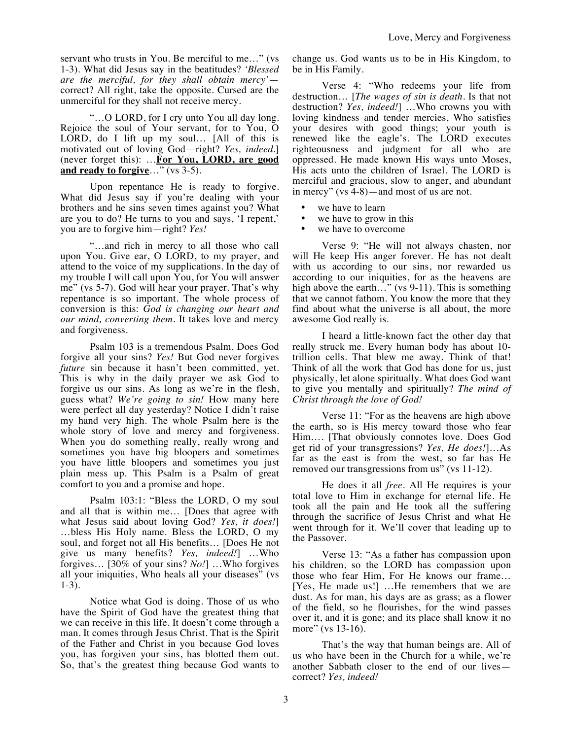servant who trusts in You. Be merciful to me…" (vs 1-3). What did Jesus say in the beatitudes? *'Blessed are the merciful, for they shall obtain mercy'* correct? All right, take the opposite. Cursed are the unmerciful for they shall not receive mercy.

"…O LORD, for I cry unto You all day long. Rejoice the soul of Your servant, for to You, O LORD, do I lift up my soul… [All of this is motivated out of loving God—right? *Yes, indeed*.] (never forget this): …**For You, LORD, are good and ready to forgive**…" (vs 3-5).

Upon repentance He is ready to forgive. What did Jesus say if you're dealing with your brothers and he sins seven times against you? What are you to do? He turns to you and says, 'I repent,' you are to forgive him—right? *Yes!*

"…and rich in mercy to all those who call upon You. Give ear, O LORD, to my prayer, and attend to the voice of my supplications. In the day of my trouble I will call upon You, for You will answer me" (vs 5-7). God will hear your prayer. That's why repentance is so important. The whole process of conversion is this: *God is changing our heart and our mind, converting them.* It takes love and mercy and forgiveness.

Psalm 103 is a tremendous Psalm. Does God forgive all your sins? *Yes!* But God never forgives *future* sin because it hasn't been committed, yet. This is why in the daily prayer we ask God to forgive us our sins. As long as we're in the flesh, guess what? *We're going to sin!* How many here were perfect all day yesterday? Notice I didn't raise my hand very high. The whole Psalm here is the whole story of love and mercy and forgiveness. When you do something really, really wrong and sometimes you have big bloopers and sometimes you have little bloopers and sometimes you just plain mess up. This Psalm is a Psalm of great comfort to you and a promise and hope.

Psalm 103:1: "Bless the LORD, O my soul and all that is within me… [Does that agree with what Jesus said about loving God? *Yes, it does!*] …bless His Holy name. Bless the LORD, O my soul, and forget not all His benefits… [Does He not give us many benefits? *Yes, indeed!*] …Who forgives… [30% of your sins? *No!*] …Who forgives all your iniquities, Who heals all your diseases" (vs 1-3).

Notice what God is doing. Those of us who have the Spirit of God have the greatest thing that we can receive in this life. It doesn't come through a man. It comes through Jesus Christ. That is the Spirit of the Father and Christ in you because God loves you, has forgiven your sins, has blotted them out. So, that's the greatest thing because God wants to change us. God wants us to be in His Kingdom, to be in His Family.

Verse 4: "Who redeems your life from destruction… [*The wages of sin is death*. Is that not destruction? *Yes, indeed!*] …Who crowns you with loving kindness and tender mercies, Who satisfies your desires with good things; your youth is renewed like the eagle's. The LORD executes righteousness and judgment for all who are oppressed. He made known His ways unto Moses, His acts unto the children of Israel. The LORD is merciful and gracious, slow to anger, and abundant in mercy" (vs 4-8)—and most of us are not.

- we have to learn<br>• we have to grow
- we have to grow in this<br>• we have to overcome
- we have to overcome

Verse 9: "He will not always chasten, nor will He keep His anger forever. He has not dealt with us according to our sins, nor rewarded us according to our iniquities, for as the heavens are high above the earth..." (vs 9-11). This is something that we cannot fathom. You know the more that they find about what the universe is all about, the more awesome God really is.

I heard a little-known fact the other day that really struck me. Every human body has about 10 trillion cells. That blew me away. Think of that! Think of all the work that God has done for us, just physically, let alone spiritually. What does God want to give you mentally and spiritually? *The mind of Christ through the love of God!*

Verse 11: "For as the heavens are high above the earth, so is His mercy toward those who fear Him…. [That obviously connotes love. Does God get rid of your transgressions? *Yes, He does!*]…As far as the east is from the west, so far has He removed our transgressions from us" (vs 11-12).

He does it all *free*. All He requires is your total love to Him in exchange for eternal life. He took all the pain and He took all the suffering through the sacrifice of Jesus Christ and what He went through for it. We'll cover that leading up to the Passover.

Verse 13: "As a father has compassion upon his children, so the LORD has compassion upon those who fear Him, For He knows our frame… [Yes, He made us!] …He remembers that we are dust. As for man, his days are as grass; as a flower of the field, so he flourishes, for the wind passes over it, and it is gone; and its place shall know it no more" (vs 13-16).

That's the way that human beings are. All of us who have been in the Church for a while, we're another Sabbath closer to the end of our lives correct? *Yes, indeed!*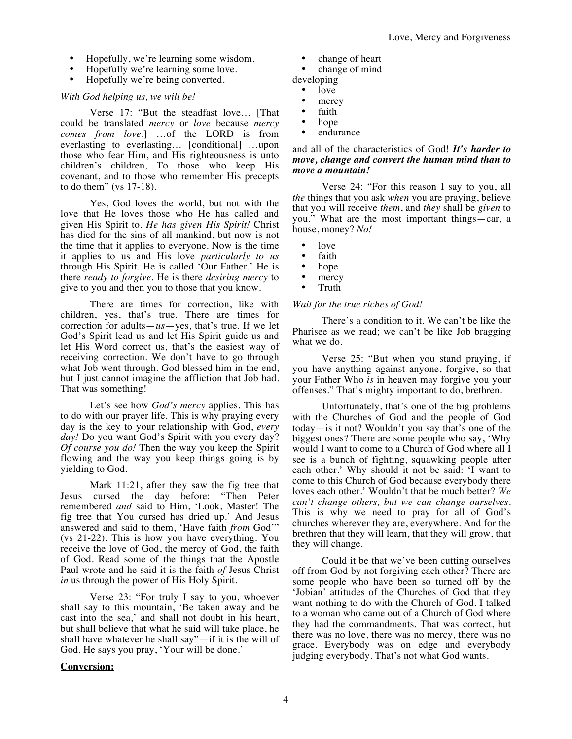- Hopefully, we're learning some wisdom.
- Hopefully we're learning some love.
- Hopefully we're being converted.

## *With God helping us, we will be!*

Verse 17: "But the steadfast love… [That could be translated *mercy* or *love* because *mercy comes from love*.] …of the LORD is from everlasting to everlasting… [conditional] …upon those who fear Him, and His righteousness is unto children's children, To those who keep His covenant, and to those who remember His precepts to do them" (vs 17-18).

Yes, God loves the world, but not with the love that He loves those who He has called and given His Spirit to. *He has given His Spirit!* Christ has died for the sins of all mankind, but now is not the time that it applies to everyone. Now is the time it applies to us and His love *particularly to us* through His Spirit. He is called 'Our Father.' He is there *ready to forgive*. He is there *desiring mercy* to give to you and then you to those that you know.

There are times for correction, like with children, yes, that's true. There are times for correction for adults—*us*—yes, that's true. If we let God's Spirit lead us and let His Spirit guide us and let His Word correct us, that's the easiest way of receiving correction. We don't have to go through what Job went through. God blessed him in the end, but I just cannot imagine the affliction that Job had. That was something!

Let's see how *God's mercy* applies. This has to do with our prayer life. This is why praying every day is the key to your relationship with God, *every day!* Do you want God's Spirit with you every day? *Of course you do!* Then the way you keep the Spirit flowing and the way you keep things going is by yielding to God.

Mark 11:21, after they saw the fig tree that Jesus cursed the day before: "Then Peter remembered *and* said to Him, 'Look, Master! The fig tree that You cursed has dried up.' And Jesus answered and said to them, 'Have faith *from* God'" (vs 21-22). This is how you have everything. You receive the love of God, the mercy of God, the faith of God. Read some of the things that the Apostle Paul wrote and he said it is the faith *of* Jesus Christ *in* us through the power of His Holy Spirit.

Verse 23: "For truly I say to you, whoever shall say to this mountain, 'Be taken away and be cast into the sea,' and shall not doubt in his heart, but shall believe that what he said will take place, he shall have whatever he shall say"—if it is the will of God. He says you pray, 'Your will be done.'

#### **Conversion:**

• change of heart

• change of mind

developing

- love
- mercy
- faith
- hope
- endurance

# and all of the characteristics of God! *It's harder to move, change and convert the human mind than to move a mountain!*

Verse 24: "For this reason I say to you, all *the* things that you ask *when* you are praying, believe that you will receive *them*, and *they* shall be *given* to you." What are the most important things—car, a house, money? *No!*

- love
- faith
- hope
- mercy
- Truth

## *Wait for the true riches of God!*

There's a condition to it. We can't be like the Pharisee as we read; we can't be like Job bragging what we do.

Verse 25: "But when you stand praying, if you have anything against anyone, forgive, so that your Father Who *is* in heaven may forgive you your offenses." That's mighty important to do, brethren.

Unfortunately, that's one of the big problems with the Churches of God and the people of God today—is it not? Wouldn't you say that's one of the biggest ones? There are some people who say, 'Why would I want to come to a Church of God where all I see is a bunch of fighting, squawking people after each other.' Why should it not be said: 'I want to come to this Church of God because everybody there loves each other.' Wouldn't that be much better? *We can't change others, but we can change ourselves.* This is why we need to pray for all of God's churches wherever they are, everywhere. And for the brethren that they will learn, that they will grow, that they will change.

Could it be that we've been cutting ourselves off from God by not forgiving each other? There are some people who have been so turned off by the 'Jobian' attitudes of the Churches of God that they want nothing to do with the Church of God. I talked to a woman who came out of a Church of God where they had the commandments. That was correct, but there was no love, there was no mercy, there was no grace. Everybody was on edge and everybody judging everybody. That's not what God wants.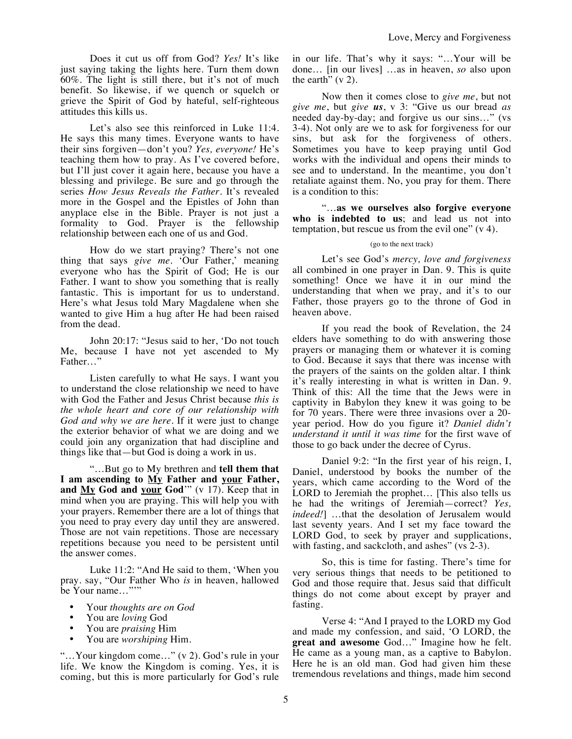Does it cut us off from God? *Yes!* It's like just saying taking the lights here. Turn them down 60%. The light is still there, but it's not of much benefit. So likewise, if we quench or squelch or grieve the Spirit of God by hateful, self-righteous attitudes this kills us.

Let's also see this reinforced in Luke 11:4. He says this many times. Everyone wants to have their sins forgiven—don't you? *Yes, everyone!* He's teaching them how to pray. As I've covered before, but I'll just cover it again here, because you have a blessing and privilege. Be sure and go through the series *How Jesus Reveals the Father*. It's revealed more in the Gospel and the Epistles of John than anyplace else in the Bible. Prayer is not just a formality to God. Prayer is the fellowship relationship between each one of us and God.

How do we start praying? There's not one thing that says *give me.* 'Our Father,' meaning everyone who has the Spirit of God; He is our Father. I want to show you something that is really fantastic. This is important for us to understand. Here's what Jesus told Mary Magdalene when she wanted to give Him a hug after He had been raised from the dead.

John 20:17: "Jesus said to her, 'Do not touch Me, because I have not yet ascended to My Father…"

Listen carefully to what He says. I want you to understand the close relationship we need to have with God the Father and Jesus Christ because *this is the whole heart and core of our relationship with God and why we are here.* If it were just to change the exterior behavior of what we are doing and we could join any organization that had discipline and things like that—but God is doing a work in us.

"…But go to My brethren and **tell them that I am ascending to My Father and your Father, and My God and your God**'" (v 17). Keep that in mind when you are praying. This will help you with your prayers. Remember there are a lot of things that you need to pray every day until they are answered. Those are not vain repetitions. Those are necessary repetitions because you need to be persistent until the answer comes.

Luke 11:2: "And He said to them, 'When you pray. say, "Our Father Who *is* in heaven, hallowed be Your name..."""

- Your *thoughts are on God*
- You are *loving* God
- You are *praising* Him
- You are *worshiping* Him.

"…Your kingdom come…" (v 2). God's rule in your life. We know the Kingdom is coming. Yes, it is coming, but this is more particularly for God's rule in our life. That's why it says: "…Your will be done… [in our lives] …as in heaven, *so* also upon the earth"  $(v 2)$ .

Now then it comes close to *give me*, but not *give me*, but *give us*, v 3: "Give us our bread *as*  needed day-by-day; and forgive us our sins…" (vs 3-4). Not only are we to ask for forgiveness for our sins, but ask for the forgiveness of others. Sometimes you have to keep praying until God works with the individual and opens their minds to see and to understand. In the meantime, you don't retaliate against them. No, you pray for them. There is a condition to this:

"…**as we ourselves also forgive everyone who is indebted to us**; and lead us not into temptation, but rescue us from the evil one" (v 4).

#### (go to the next track)

Let's see God's *mercy, love and forgiveness* all combined in one prayer in Dan. 9. This is quite something! Once we have it in our mind the understanding that when we pray, and it's to our Father, those prayers go to the throne of God in heaven above.

If you read the book of Revelation, the 24 elders have something to do with answering those prayers or managing them or whatever it is coming to God. Because it says that there was incense with the prayers of the saints on the golden altar. I think it's really interesting in what is written in Dan. 9. Think of this: All the time that the Jews were in captivity in Babylon they knew it was going to be for 70 years. There were three invasions over a 20 year period. How do you figure it? *Daniel didn't understand it until it was time* for the first wave of those to go back under the decree of Cyrus.

Daniel 9:2: "In the first year of his reign, I, Daniel, understood by books the number of the years, which came according to the Word of the LORD to Jeremiah the prophet… [This also tells us he had the writings of Jeremiah—correct? *Yes, indeed!*] …that the desolation of Jerusalem would last seventy years. And I set my face toward the LORD God, to seek by prayer and supplications, with fasting, and sackcloth, and ashes" (vs 2-3).

So, this is time for fasting. There's time for very serious things that needs to be petitioned to God and those require that. Jesus said that difficult things do not come about except by prayer and fasting.

Verse 4: "And I prayed to the LORD my God and made my confession, and said, 'O LORD, the **great and awesome** God…" Imagine how he felt. He came as a young man, as a captive to Babylon. Here he is an old man. God had given him these tremendous revelations and things, made him second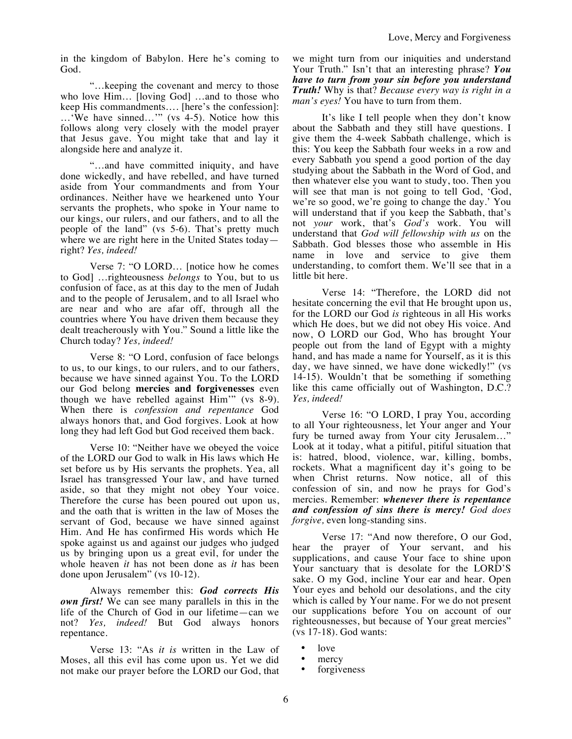in the kingdom of Babylon. Here he's coming to God.

"…keeping the covenant and mercy to those who love Him… [loving God] …and to those who keep His commandments…. [here's the confession]: …'We have sinned…'" (vs 4-5). Notice how this follows along very closely with the model prayer that Jesus gave. You might take that and lay it alongside here and analyze it.

"…and have committed iniquity, and have done wickedly, and have rebelled, and have turned aside from Your commandments and from Your ordinances. Neither have we hearkened unto Your servants the prophets, who spoke in Your name to our kings, our rulers, and our fathers, and to all the people of the land" (vs 5-6). That's pretty much where we are right here in the United States today right? *Yes, indeed!*

Verse 7: "O LORD… [notice how he comes to God] …righteousness *belongs* to You, but to us confusion of face, as at this day to the men of Judah and to the people of Jerusalem, and to all Israel who are near and who are afar off, through all the countries where You have driven them because they dealt treacherously with You." Sound a little like the Church today? *Yes, indeed!*

Verse 8: "O Lord, confusion of face belongs to us, to our kings, to our rulers, and to our fathers, because we have sinned against You. To the LORD our God belong **mercies and forgivenesses** even though we have rebelled against Him'" (vs 8-9). When there is *confession and repentance* God always honors that, and God forgives. Look at how long they had left God but God received them back.

Verse 10: "Neither have we obeyed the voice of the LORD our God to walk in His laws which He set before us by His servants the prophets. Yea, all Israel has transgressed Your law, and have turned aside, so that they might not obey Your voice. Therefore the curse has been poured out upon us, and the oath that is written in the law of Moses the servant of God, because we have sinned against Him. And He has confirmed His words which He spoke against us and against our judges who judged us by bringing upon us a great evil, for under the whole heaven *it* has not been done as *it* has been done upon Jerusalem" (vs 10-12).

Always remember this: *God corrects His own first!* We can see many parallels in this in the life of the Church of God in our lifetime—can we not? *Yes, indeed!* But God always honors repentance.

Verse 13: "As *it is* written in the Law of Moses, all this evil has come upon us. Yet we did not make our prayer before the LORD our God, that we might turn from our iniquities and understand Your Truth." Isn't that an interesting phrase? *You have to turn from your sin before you understand Truth!* Why is that? *Because every way is right in a man's eyes!* You have to turn from them.

It's like I tell people when they don't know about the Sabbath and they still have questions. I give them the 4-week Sabbath challenge, which is this: You keep the Sabbath four weeks in a row and every Sabbath you spend a good portion of the day studying about the Sabbath in the Word of God, and then whatever else you want to study, too. Then you will see that man is not going to tell God, 'God, we're so good, we're going to change the day.' You will understand that if you keep the Sabbath, that's not *your* work, that's *God's* work. You will understand that *God will fellowship with us* on the Sabbath. God blesses those who assemble in His name in love and service to give them understanding, to comfort them. We'll see that in a little bit here.

Verse 14: "Therefore, the LORD did not hesitate concerning the evil that He brought upon us, for the LORD our God *is* righteous in all His works which He does, but we did not obey His voice. And now, O LORD our God, Who has brought Your people out from the land of Egypt with a mighty hand, and has made a name for Yourself, as it is this day, we have sinned, we have done wickedly!" (vs 14-15). Wouldn't that be something if something like this came officially out of Washington, D.C.? *Yes, indeed!*

Verse 16: "O LORD, I pray You, according to all Your righteousness, let Your anger and Your fury be turned away from Your city Jerusalem…" Look at it today, what a pitiful, pitiful situation that is: hatred, blood, violence, war, killing, bombs, rockets. What a magnificent day it's going to be when Christ returns. Now notice, all of this confession of sin, and now he prays for God's mercies. Remember: *whenever there is repentance and confession of sins there is mercy! God does forgive,* even long-standing sins.

Verse 17: "And now therefore, O our God, hear the prayer of Your servant, and his supplications, and cause Your face to shine upon Your sanctuary that is desolate for the LORD'S sake. O my God, incline Your ear and hear. Open Your eyes and behold our desolations, and the city which is called by Your name. For we do not present our supplications before You on account of our righteousnesses, but because of Your great mercies" (vs 17-18). God wants:

- love
- mercy
- forgiveness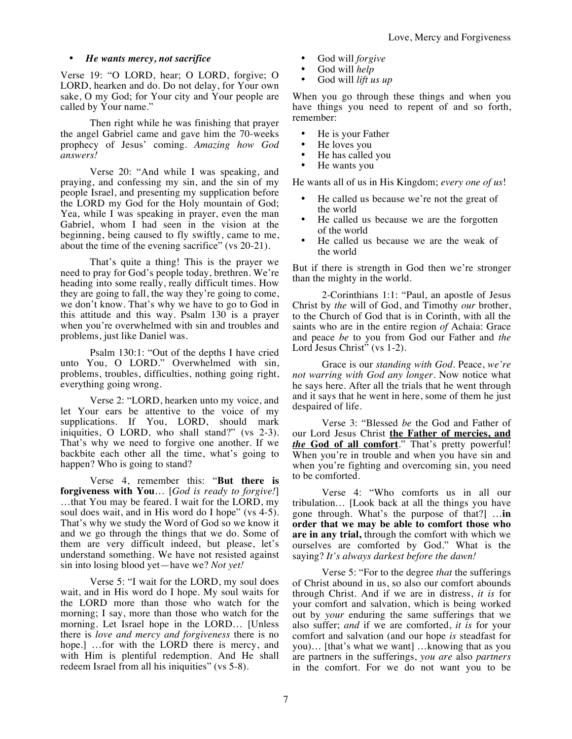## • *He wants mercy, not sacrifice*

Verse 19: "O LORD, hear; O LORD, forgive; O LORD, hearken and do. Do not delay, for Your own sake, O my God; for Your city and Your people are called by Your name."

Then right while he was finishing that prayer the angel Gabriel came and gave him the 70-weeks prophecy of Jesus' coming. *Amazing how God answers!*

Verse 20: "And while I was speaking, and praying, and confessing my sin, and the sin of my people Israel, and presenting my supplication before the LORD my God for the Holy mountain of God; Yea, while I was speaking in prayer, even the man Gabriel, whom I had seen in the vision at the beginning, being caused to fly swiftly, came to me, about the time of the evening sacrifice" (vs 20-21).

That's quite a thing! This is the prayer we need to pray for God's people today, brethren. We're heading into some really, really difficult times. How they are going to fall, the way they're going to come, we don't know. That's why we have to go to God in this attitude and this way. Psalm 130 is a prayer when you're overwhelmed with sin and troubles and problems, just like Daniel was.

Psalm 130:1: "Out of the depths I have cried unto You, O LORD." Overwhelmed with sin, problems, troubles, difficulties, nothing going right, everything going wrong.

Verse 2: "LORD, hearken unto my voice, and let Your ears be attentive to the voice of my supplications. If You, LORD, should mark iniquities, O LORD, who shall stand?" (vs 2-3). That's why we need to forgive one another. If we backbite each other all the time, what's going to happen? Who is going to stand?

Verse 4, remember this: "**But there is forgiveness with You**… [*God is ready to forgive!*] …that You may be feared. I wait for the LORD, my soul does wait, and in His word do I hope" (vs 4-5). That's why we study the Word of God so we know it and we go through the things that we do. Some of them are very difficult indeed, but please, let's understand something. We have not resisted against sin into losing blood yet—have we? *Not yet!*

Verse 5: "I wait for the LORD, my soul does wait, and in His word do I hope. My soul waits for the LORD more than those who watch for the morning; I say, more than those who watch for the morning. Let Israel hope in the LORD… [Unless there is *love and mercy and forgiveness* there is no hope.] ...for with the LORD there is mercy, and with Him is plentiful redemption. And He shall redeem Israel from all his iniquities" (vs 5-8).

- God will *forgive*
- God will *help*
- God will *lift us up*

When you go through these things and when you have things you need to repent of and so forth, remember:

- He is your Father<br>• He loves you
- He loves you
- He has called you
- He wants you

He wants all of us in His Kingdom; *every one of us*!

- He called us because we're not the great of the world
- He called us because we are the forgotten of the world
- He called us because we are the weak of the world

But if there is strength in God then we're stronger than the mighty in the world.

2-Corinthians 1:1: "Paul, an apostle of Jesus Christ by *the* will of God, and Timothy *our* brother, to the Church of God that is in Corinth, with all the saints who are in the entire region *of* Achaia: Grace and peace *be* to you from God our Father and *the* Lord Jesus Christ" (vs 1-2).

Grace is our *standing with God*. Peace, *we're not warring with God any longer.* Now notice what he says here. After all the trials that he went through and it says that he went in here, some of them he just despaired of life.

Verse 3: "Blessed *be* the God and Father of our Lord Jesus Christ **the Father of mercies, and**  *the* **God of all comfort**." That's pretty powerful! When you're in trouble and when you have sin and when you're fighting and overcoming sin, you need to be comforted.

Verse 4: "Who comforts us in all our tribulation… [Look back at all the things you have gone through. What's the purpose of that?] …**in order that we may be able to comfort those who are in any trial,** through the comfort with which we ourselves are comforted by God." What is the saying? *It's always darkest before the dawn!*

Verse 5: "For to the degree *that* the sufferings of Christ abound in us, so also our comfort abounds through Christ. And if we are in distress, *it is* for your comfort and salvation, which is being worked out by *your* enduring the same sufferings that we also suffer; *and* if we are comforted, *it is* for your comfort and salvation (and our hope *is* steadfast for you)… [that's what we want] …knowing that as you are partners in the sufferings, *you are* also *partners* in the comfort. For we do not want you to be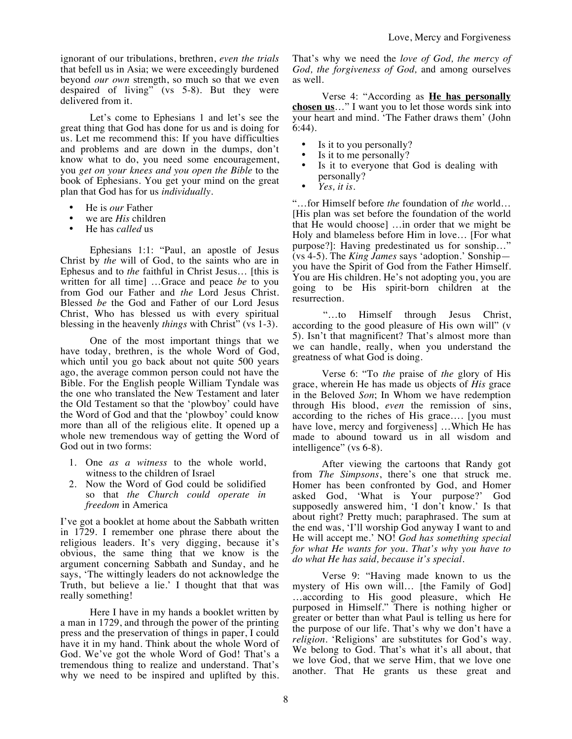ignorant of our tribulations, brethren, *even the trials* that befell us in Asia; we were exceedingly burdened beyond *our own* strength, so much so that we even despaired of living" (vs 5-8). But they were delivered from it.

Let's come to Ephesians 1 and let's see the great thing that God has done for us and is doing for us. Let me recommend this: If you have difficulties and problems and are down in the dumps, don't know what to do, you need some encouragement, you *get on your knees and you open the Bible* to the book of Ephesians. You get your mind on the great plan that God has for us *individually*.

- He is *our* Father
- we are *His* children
- He has *called* us

Ephesians 1:1: "Paul, an apostle of Jesus Christ by *the* will of God, to the saints who are in Ephesus and to *the* faithful in Christ Jesus… [this is written for all time] …Grace and peace *be* to you from God our Father and *the* Lord Jesus Christ. Blessed *be* the God and Father of our Lord Jesus Christ, Who has blessed us with every spiritual blessing in the heavenly *things* with Christ" (vs 1-3).

One of the most important things that we have today, brethren, is the whole Word of God, which until you go back about not quite 500 years ago, the average common person could not have the Bible. For the English people William Tyndale was the one who translated the New Testament and later the Old Testament so that the 'plowboy' could have the Word of God and that the 'plowboy' could know more than all of the religious elite. It opened up a whole new tremendous way of getting the Word of God out in two forms:

- 1. One *as a witness* to the whole world, witness to the children of Israel
- 2. Now the Word of God could be solidified so that *the Church could operate in freedom* in America

I've got a booklet at home about the Sabbath written in 1729. I remember one phrase there about the religious leaders. It's very digging, because it's obvious, the same thing that we know is the argument concerning Sabbath and Sunday, and he says, 'The wittingly leaders do not acknowledge the Truth, but believe a lie.' I thought that that was really something!

Here I have in my hands a booklet written by a man in 1729, and through the power of the printing press and the preservation of things in paper, I could have it in my hand. Think about the whole Word of God. We've got the whole Word of God! That's a tremendous thing to realize and understand. That's why we need to be inspired and uplifted by this.

That's why we need the *love of God, the mercy of God, the forgiveness of God,* and among ourselves as well.

Verse 4: "According as **He has personally chosen us**…" I want you to let those words sink into your heart and mind. 'The Father draws them' (John 6:44).

- Is it to you personally?
- Is it to me personally?
- Is it to everyone that God is dealing with personally?
- *Yes, it is*.

"…for Himself before *the* foundation of *the* world… [His plan was set before the foundation of the world that He would choose] …in order that we might be Holy and blameless before Him in love… [For what purpose?]: Having predestinated us for sonship…" (vs 4-5). The *King James* says 'adoption.' Sonship you have the Spirit of God from the Father Himself. You are His children. He's not adopting you, you are going to be His spirit-born children at the resurrection.

"…to Himself through Jesus Christ, according to the good pleasure of His own will" (v 5). Isn't that magnificent? That's almost more than we can handle, really, when you understand the greatness of what God is doing.

Verse 6: "To *the* praise of *the* glory of His grace, wherein He has made us objects of *His* grace in the Beloved *Son*; In Whom we have redemption through His blood, *even* the remission of sins, according to the riches of His grace…. [you must have love, mercy and forgiveness] …Which He has made to abound toward us in all wisdom and intelligence" (vs 6-8).

After viewing the cartoons that Randy got from *The Simpsons*, there's one that struck me. Homer has been confronted by God, and Homer asked God, 'What is Your purpose?' God supposedly answered him, 'I don't know.' Is that about right? Pretty much; paraphrased. The sum at the end was, 'I'll worship God anyway I want to and He will accept me.' NO! *God has something special for what He wants for you. That's why you have to do what He has said, because it's special.*

Verse 9: "Having made known to us the mystery of His own will… [the Family of God] …according to His good pleasure, which He purposed in Himself." There is nothing higher or greater or better than what Paul is telling us here for the purpose of our life. That's why we don't have a *religion*. 'Religions' are substitutes for God's way. We belong to God. That's what it's all about, that we love God, that we serve Him, that we love one another. That He grants us these great and